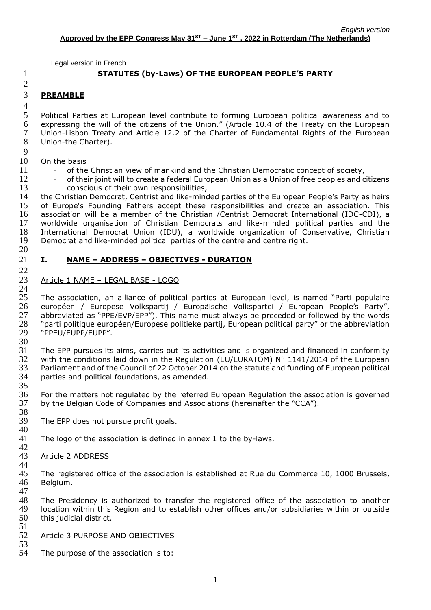# 1 **STATUTES (by-Laws) OF THE EUROPEAN PEOPLE'S PARTY**

# 2

4

9

# 3 **PREAMBLE**

 Political Parties at European level contribute to forming European political awareness and to expressing the will of the citizens of the Union." (Article 10.4 of the Treaty on the European Union-Lisbon Treaty and Article 12.2 of the Charter of Fundamental Rights of the European Union-the Charter).

- 10 On the basis
- 11 of the Christian view of mankind and the Christian Democratic concept of society,
- 12 of their joint will to create a federal European Union as a Union of free peoples and citizens

13 conscious of their own responsibilities,<br>14 the Christian Democrat, Centrist and like-ming 14 the Christian Democrat, Centrist and like-minded parties of the European People's Party as heirs<br>15 of Europe's Founding Fathers accept these responsibilities and create an association. This of Europe's Founding Fathers accept these responsibilities and create an association. This 16 association will be a member of the Christian /Centrist Democrat International (IDC-CDI), a 17 worldwide organisation of Christian Democrats and like-minded political parties and the 18 International Democrat Union (IDU), a worldwide organization of Conservative, Christian<br>19 Democrat and like-minded political parties of the centre and centre right. Democrat and like-minded political parties of the centre and centre right.

20

22

# 21 **I. NAME – ADDRESS – OBJECTIVES - DURATION**

## 23 Article 1 NAME – LEGAL BASE - LOGO

 $\frac{24}{25}$ 25 The association, an alliance of political parties at European level, is named "Parti populaire<br>26 européen / Europese Volkspartij / Europäische Volkspartei / European People's Party", 26 européen / Europese Volkspartij / Europäische Volkspartei / European People's Party",<br>27 abbreviated as "PPE/EVP/EPP"). This name must always be preceded or followed by the words 27 abbreviated as "PPE/EVP/EPP"). This name must always be preceded or followed by the words<br>28 Tharti politique européen/Europese politieke partij, European political party" or the abbreviation 28 "parti politique européen/Europese politieke partij, European political party" or the abbreviation<br>29 "PPEU/EUPP/EUPP". 29 "PPEU/EUPP/EUPP". 30

 The EPP pursues its aims, carries out its activities and is organized and financed in conformity 32 with the conditions laid down in the Regulation (EU/EURATOM)  $N^{\circ}$  1141/2014 of the European Parliament and of the Council of 22 October 2014 on the statute and funding of European political parties and political foundations, as amended.

 $\frac{35}{36}$ 36 For the matters not regulated by the referred European Regulation the association is governed<br>37 by the Belgian Code of Companies and Associations (hereinafter the "CCA"). by the Belgian Code of Companies and Associations (hereinafter the "CCA").

- 38<br>39 The EPP does not pursue profit goals. 40
- 41 The logo of the association is defined in annex 1 to the by-laws.

## 42 Article 2 ADDRESS

44 The registered office of the association is established at Rue du Commerce 10, 1000 Brussels, 46 Belgium.

47

48 The Presidency is authorized to transfer the registered office of the association to another<br>49 Iocation within this Region and to establish other offices and/or subsidiaries within or outside 49 location within this Region and to establish other offices and/or subsidiaries within or outside<br>50 this judicial district. this judicial district. 51

## 52 Article 3 PURPOSE AND OBJECTIVES

53 The purpose of the association is to: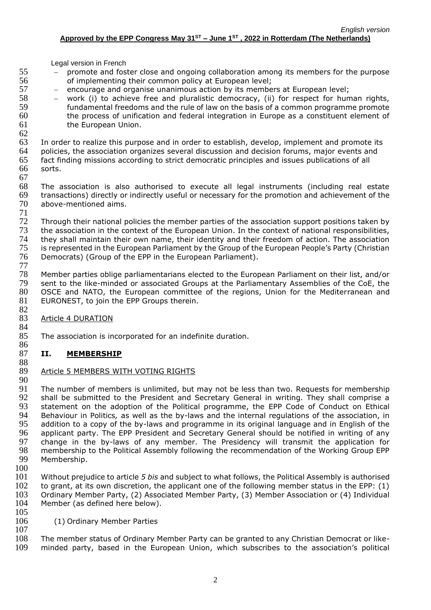- 55 − promote and foster close and ongoing collaboration among its members for the purpose 56 of implementing their common policy at European level;
- 57 encourage and organise unanimous action by its members at European level;
- 58 − work (i) to achieve free and pluralistic democracy, (ii) for respect for human rights,<br>59 fundamental freedoms and the rule of law on the basis of a common programme promote fundamental freedoms and the rule of law on the basis of a common programme promote 60 the process of unification and federal integration in Europe as a constituent element of 61 the European Union.

 $62$ <br> $63$ 63 In order to realize this purpose and in order to establish, develop, implement and promote its 64 policies, the association organizes several discussion and decision forums, major events and policies, the association organizes several discussion and decision forums, major events and 65 fact finding missions according to strict democratic principles and issues publications of all 66 sorts.

67 68 The association is also authorised to execute all legal instruments (including real estate<br>69 transactions) directly or indirectly useful or necessary for the promotion and achievement of the 69 transactions) directly or indirectly useful or necessary for the promotion and achievement of the above-mentioned aims.

 $\frac{71}{72}$ 72 Through their national policies the member parties of the association support positions taken by<br>73 the association in the context of the European Union. In the context of national responsibilities, 73 the association in the context of the European Union. In the context of national responsibilities,<br>74 they shall maintain their own name, their identity and their freedom of action. The association 74 they shall maintain their own name, their identity and their freedom of action. The association<br>75 is represented in the European Parliament by the Group of the European People's Party (Christian is represented in the European Parliament by the Group of the European People's Party (Christian 76 Democrats) (Group of the EPP in the European Parliament).

 $\frac{77}{78}$ 78 Member parties oblige parliamentarians elected to the European Parliament on their list, and/or<br>79 sent to the like-minded or associated Groups at the Parliamentary Assemblies of the CoE, the 79 sent to the like-minded or associated Groups at the Parliamentary Assemblies of the CoE, the 80 OSCE and NATO, the European committee of the regions, Union for the Mediterranean and OSCE and NATO, the European committee of the regions, Union for the Mediterranean and 81 EURONEST, to join the EPP Groups therein.

 $82$ <br> $83$ Article 4 DURATION

84 85 The association is incorporated for an indefinite duration.

## 86<br>87 87 **II. MEMBERSHIP**

## 88 Article 5 MEMBERS WITH VOTING RIGHTS

90<br>91 91 The number of members is unlimited, but may not be less than two. Requests for membership<br>92 Shall be submitted to the President and Secretary General in writing. They shall comprise a shall be submitted to the President and Secretary General in writing. They shall comprise a 93 statement on the adoption of the Political programme, the EPP Code of Conduct on Ethical 94 Behaviour in Politics*,* as well as the by-laws and the internal regulations of the association, in 95 addition to a copy of the by-laws and programme in its original language and in English of the<br>96 applicant party. The EPP President and Secretary General should be notified in writing of any 96 applicant party. The EPP President and Secretary General should be notified in writing of any<br>97 change in the by-laws of any member. The Presidency will transmit the application for 97 change in the by-laws of any member. The Presidency will transmit the application for 98 membership to the Political Assembly following the recommendation of the Working Group EPP 98 membership to the Political Assembly following the recommendation of the Working Group EPP<br>99 Membership. Membership.

 $\frac{100}{101}$ 

101 Without prejudice to article *5 bis* and subject to what follows, the Political Assembly is authorised 102 to grant, at its own discretion, the applicant one of the following member status in the EPP: (1) 103 Ordinary Member Party, (2) Associated Member Party, (3) Member Association or (4) Individual 104 Member (as defined here below). Member (as defined here below).

 $\frac{105}{106}$ 

107

(1) Ordinary Member Parties

108 The member status of Ordinary Member Party can be granted to any Christian Democrat or like-109 minded party, based in the European Union, which subscribes to the association's political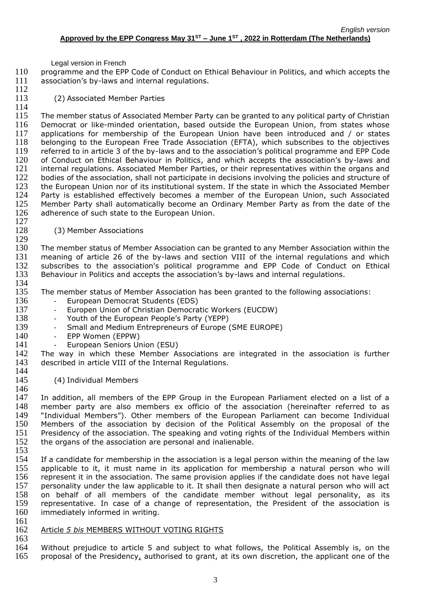110 programme and the EPP Code of Conduct on Ethical Behaviour in Politics*,* and which accepts the 111 association's by-laws and internal regulations.  $\frac{112}{113}$ 

(2) Associated Member Parties

115 The member status of Associated Member Party can be granted to any political party of Christian 116 Democrat or like-minded orientation, based outside the European Union, from states whose 117 applications for membership of the European Union have been introduced and / or states 118 belonging to the European Free Trade Association (EFTA), which subscribes to the objectives 119 referred to in article 3 of the by-laws and to the association's political programme and EPP Code referred to in article 3 of the by-laws and to the association's political programme and EPP Code 120 of Conduct on Ethical Behaviour in Politics, and which accepts the association's by-laws and 121 internal regulations. Associated Member Parties, or their representatives within the organs and<br>122 bodies of the association, shall not participate in decisions involving the policies and structure of 122 bodies of the association, shall not participate in decisions involving the policies and structure of 123 the European Union nor of its institutional system. If the state in which the Associated Member 123 the European Union nor of its institutional system. If the state in which the Associated Member<br>124 Party is established effectively becomes a member of the European Union, such Associated Party is established effectively becomes a member of the European Union, such Associated 125 Member Party shall automatically become an Ordinary Member Party as from the date of the 126 adherence of such state to the European Union.  $\frac{127}{128}$ 

(3) Member Associations

130 The member status of Member Association can be granted to any Member Association within the 131 meaning of article 26 of the by-laws and section VIII of the internal regulations and which<br>132 subscribes to the association's political programme and EPP Code of Conduct on Ethical 132 subscribes to the association's political programme and EPP Code of Conduct on Ethical<br>133 Behaviour in Politics and accepts the association's by-laws and internal requilations. Behaviour in Politics and accepts the association's by-laws and internal regulations.

134<br>135

129

114

The member status of Member Association has been granted to the following associations:

- 136 European Democrat Students (EDS)<br>137 Europen Union of Christian Democra
	- Europen Union of Christian Democratic Workers (EUCDW)
- 138 Youth of the European People's Party (YEPP)
- 139 Small and Medium Entrepreneurs of Europe (SME EUROPE)
- 140 EPP Women (EPPW)<br>141 European Seniors Ur
- 141 European Seniors Union (ESU)<br>142 The way in which these Member A
- The way in which these Member Associations are integrated in the association is further 143 described in article VIII of the Internal Regulations. 144
- 145 (4) Individual Members

146<br>147 In addition, all members of the EPP Group in the European Parliament elected on a list of a 148 member party are also members ex officio of the association (hereinafter referred to as 149 "Individual Members"). Other members of the European Parliament can become Individual 150 Members of the association by decision of the Political Assembly on the proposal of the 151 Presidency of the association. The speaking and voting rights of the Individual Members within 152 the organs of the association are personal and inalienable. the organs of the association are personal and inalienable.

153

154 If a candidate for membership in the association is a legal person within the meaning of the law<br>155 applicable to it, it must name in its application for membership a natural person who will applicable to it, it must name in its application for membership a natural person who will 156 represent it in the association. The same provision applies if the candidate does not have legal 157 personality under the law applicable to it. It shall then designate a natural person who will act 158 on behalf of all members of the candidate member without legal personality, as its<br>159 representative. In case of a change of representation, the President of the association is 159 representative. In case of a change of representation, the President of the association is 160 immediately informed in writing. immediately informed in writing. 161

162 Article *5 bis* MEMBERS WITHOUT VOTING RIGHTS

163 164 Without prejudice to article 5 and subject to what follows, the Political Assembly is, on the 165 proposal of the Presidency, authorised to grant, at its own discretion, the applicant one of the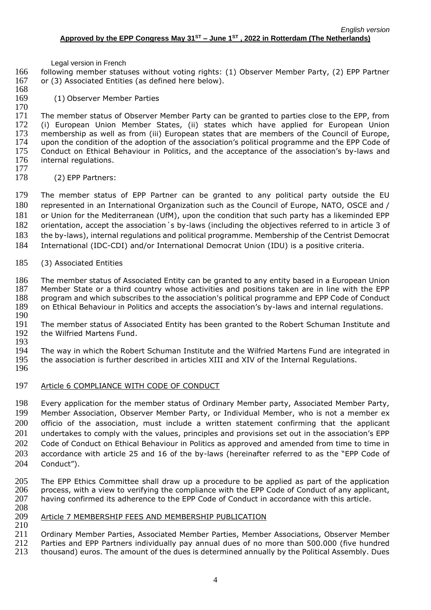following member statuses without voting rights: (1) Observer Member Party, (2) EPP Partner or (3) Associated Entities (as defined here below).

 (1) Observer Member Parties

 The member status of Observer Member Party can be granted to parties close to the EPP, from 172 (i) European Union Member States, (ii) states which have applied for European Union<br>173 membership as well as from (iii) European states that are members of the Council of Europe, 173 membership as well as from (iii) European states that are members of the Council of Europe,<br>174 upon the condition of the adoption of the association's political programme and the EPP Code of 174 upon the condition of the adoption of the association's political programme and the EPP Code of 175 Conduct on Ethical Behaviour in Politics, and the acceptance of the association's by-laws and Conduct on Ethical Behaviour in Politics, and the acceptance of the association's by-laws and 176 internal regulations.

 $\frac{177}{178}$ (2) EPP Partners:

 The member status of EPP Partner can be granted to any political party outside the EU represented in an International Organization such as the Council of Europe, NATO, OSCE and / or Union for the Mediterranean (UfM), upon the condition that such party has a likeminded EPP orientation, accept the association´s by-laws (including the objectives referred to in article 3 of the by-laws), internal regulations and political programme. Membership of the Centrist Democrat International (IDC-CDI) and/or International Democrat Union (IDU) is a positive criteria.

(3) Associated Entities

186 The member status of Associated Entity can be granted to any entity based in a European Union<br>187 Member State or a third country whose activities and positions taken are in line with the EPP Member State or a third country whose activities and positions taken are in line with the EPP program and which subscribes to the association's political programme and EPP Code of Conduct on Ethical Behaviour in Politics and accepts the association's by-laws and internal regulations.

190<br>191 191 The member status of Associated Entity has been granted to the Robert Schuman Institute and 192 the Wilfried Martens Fund. the Wilfried Martens Fund. 

 The way in which the Robert Schuman Institute and the Wilfried Martens Fund are integrated in the association is further described in articles XIII and XIV of the Internal Regulations.

- 
- Article 6 COMPLIANCE WITH CODE OF CONDUCT

 Every application for the member status of Ordinary Member party, Associated Member Party, Member Association, Observer Member Party, or Individual Member, who is not a member ex 200 officio of the association, must include a written statement confirming that the applicant 201 undertakes to comply with the values, principles and provisions set out in the association's EPP Code of Conduct on Ethical Behaviour in Politics as approved and amended from time to time in accordance with article 25 and 16 of the by-laws (hereinafter referred to as the "EPP Code of Conduct").

- The EPP Ethics Committee shall draw up a procedure to be applied as part of the application process, with a view to verifying the compliance with the EPP Code of Conduct of any applicant, having confirmed its adherence to the EPP Code of Conduct in accordance with this article.
- Article 7 MEMBERSHIP FEES AND MEMBERSHIP PUBLICATION
- Ordinary Member Parties, Associated Member Parties, Member Associations, Observer Member Parties and EPP Partners individually pay annual dues of no more than 500.000 (five hundred
- 213 thousand) euros. The amount of the dues is determined annually by the Political Assembly. Dues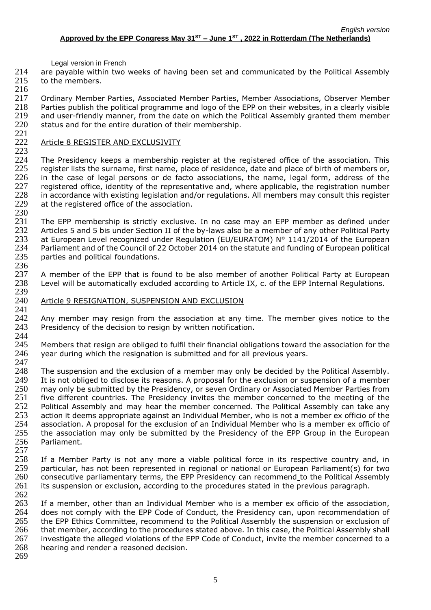214 are payable within two weeks of having been set and communicated by the Political Assembly 215 to the members.

216 217 Ordinary Member Parties, Associated Member Parties, Member Associations, Observer Member<br>218 Parties publish the political programme and logo of the EPP on their websites, in a clearly visible Parties publish the political programme and logo of the EPP on their websites, in a clearly visible 219 and user-friendly manner, from the date on which the Political Assembly granted them member<br>220 status and for the entire duration of their membership. status and for the entire duration of their membership.

## 221 Article 8 REGISTER AND EXCLUSIVITY

 $^{223}_{224}$ 

The Presidency keeps a membership register at the registered office of the association. This 225 register lists the surname, first name, place of residence, date and place of birth of members or,<br>226 in the case of legal persons or de facto associations, the name, legal form, address of the 226 in the case of legal persons or de facto associations, the name, legal form, address of the 227 registered office, identity of the representative and, where applicable, the registration number 227 registered office, identity of the representative and, where applicable, the registration number<br>228 in accordance with existing legislation and/or regulations. All members may consult this register 228 in accordance with existing legislation and/or regulations. All members may consult this register  $229$  at the registered office of the association. at the registered office of the association.

230<br>231 231 The EPP membership is strictly exclusive. In no case may an EPP member as defined under<br>232 Articles 5 and 5 bis under Section II of the by-laws also be a member of any other Political Party Articles 5 and 5 bis under Section II of the by-laws also be a member of any other Political Party 233 at European Level recognized under Regulation (EU/EURATOM) N° 1141/2014 of the European 234 Parliament and of the Council of 22 October 2014 on the statute and funding of European political 235 parties and political foundations.

236<br>237 237 A member of the EPP that is found to be also member of another Political Party at European<br>238 Level will be automatically excluded according to Article IX, c. of the EPP Internal Regulations. Level will be automatically excluded according to Article IX, c. of the EPP Internal Regulations. 239

## 240 Article 9 RESIGNATION, SUSPENSION AND EXCLUSION

241<br>242 Any member may resign from the association at any time. The member gives notice to the 243 Presidency of the decision to resign by written notification.

244<br>245 245 Members that resign are obliged to fulfil their financial obligations toward the association for the 246 vear during which the resignation is submitted and for all previous vears. year during which the resignation is submitted and for all previous years.

247 248 The suspension and the exclusion of a member may only be decided by the Political Assembly. 249 It is not obliged to disclose its reasons. A proposal for the exclusion or suspension of a member 250 may only be submitted by the Presidency, or seven Ordinary or Associated Member Parties from 250 may only be submitted by the Presidency, or seven Ordinary or Associated Member Parties from<br>251 five different countries. The Presidency invites the member concerned to the meeting of the five different countries. The Presidency invites the member concerned to the meeting of the 252 Political Assembly and may hear the member concerned. The Political Assembly can take any 253 action it deems appropriate against an Individual Member, who is not a member ex officio of the 254 association. A proposal for the exclusion of an Individual Member who is a member ex officio of 255 the association may only be submitted by the Presidency of the EPP Group in the European 255 the association may only be submitted by the Presidency of the EPP Group in the European<br>256 Parliament. Parliament.

 $\frac{257}{258}$ 258 If a Member Party is not any more a viable political force in its respective country and, in<br>259 particular, has not been represented in regional or national or European Parliament(s) for two 259 particular, has not been represented in regional or national or European Parliament(s) for two<br>260 consecutive parliamentary terms, the EPP Presidency can recommend to the Political Assembly consecutive parliamentary terms, the EPP Presidency can recommend to the Political Assembly 261 its suspension or exclusion, according to the procedures stated in the previous paragraph.

262 263 If a member, other than an Individual Member who is a member ex officio of the association, 264 does not comply with the EPP Code of Conduct, the Presidency can, upon recommendation of 265 the EPP Frhics Committee, recommend to the Political Assembly the suspension or exclusion of 265 the EPP Ethics Committee, recommend to the Political Assembly the suspension or exclusion of 266 that member, according to the procedures stated above. In this case, the Political Assembly shall 267 investigate the alleged violations of the EPP Code of Conduct, invite the member concerned to a 268 hearing and render a reasoned decision.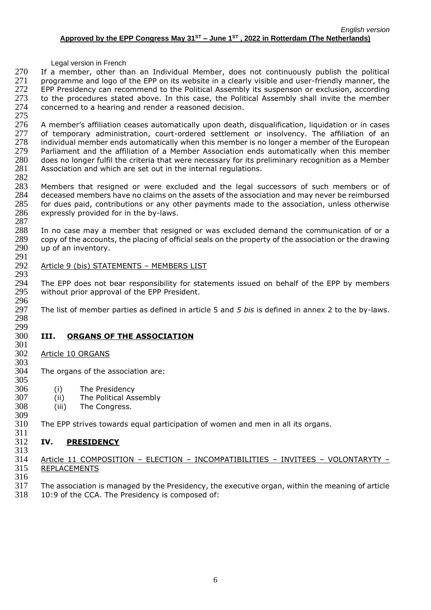270 If a member, other than an Individual Member, does not continuously publish the political 271 programme and logo of the EPP on its website in a clearly visible and user-friendly manner, the 272 EPP Presidency can recommend to the Political Assembly its suspenson or exclusion, according 273 to the procedures stated above. In this case, the Political Assembly shall invite the member 274 concerned to a hearing and render a reasoned decision. concerned to a hearing and render a reasoned decision.

275<br>276 276 A member's affiliation ceases automatically upon death, disqualification, liquidation or in cases<br>277 of temporary administration, court-ordered settlement or insolvency. The affiliation of an 277 of temporary administration, court-ordered settlement or insolvency. The affiliation of an<br>278 individual member ends automatically when this member is no longer a member of the European 278 individual member ends automatically when this member is no longer a member of the European<br>279 Parliament and the affiliation of a Member Association ends automatically when this member Parliament and the affiliation of a Member Association ends automatically when this member 280 does no longer fulfil the criteria that were necessary for its preliminary recognition as a Member 281 Association and which are set out in the internal regulations.

 $\frac{282}{283}$ 283 Members that resigned or were excluded and the legal successors of such members or of 284 deceased members have no claims on the assets of the association and may never be reimbursed 284 deceased members have no claims on the assets of the association and may never be reimbursed 285 for dues paid, contributions or any other payments made to the association, unless otherwise 286 expressly provided for in the by-laws.

 $\frac{287}{288}$ In no case may a member that resigned or was excluded demand the communication of or a 289 copy of the accounts, the placing of official seals on the property of the association or the drawing 290 up of an inventory.

## 291 Article 9 (bis) STATEMENTS - MEMBERS LIST

293<br>294 294 The EPP does not bear responsibility for statements issued on behalf of the EPP by members 295 without prior approval of the EPP President. without prior approval of the EPP President.

296<br>297 The list of member parties as defined in article 5 and 5 bis is defined in annex 2 to the by-laws.

#### 298 299

# 300 **III. ORGANS OF THE ASSOCIATION**

#### 301<br>302 Article 10 ORGANS 303

304 The organs of the association are: 305<br>306

- 
- 306 (i) The Presidency<br>307 (ii) The Political Ass (ii) The Political Assembly
- 308 (iii) The Congress. 309
- 310 The EPP strives towards equal participation of women and men in all its organs.

## $\frac{311}{312}$ 312 **IV. PRESIDENCY**

313

314 Article 11 COMPOSITION – ELECTION – INCOMPATIBILITIES – INVITEES – VOLONTARYTY –<br>315 REPLACEMENTS **REPLACEMENTS** 

- 316
- 317 The association is managed by the Presidency, the executive organ, within the meaning of article
- 318 10:9 of the CCA. The Presidency is composed of: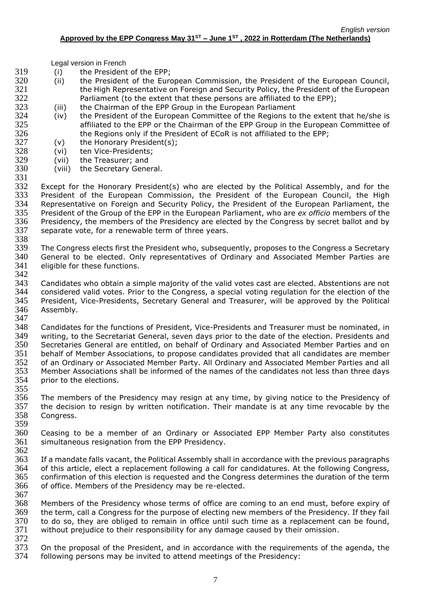- 319 (i) the President of the EPP;
- 320 (ii) the President of the European Commission, the President of the European Council, 321 the High Representative on Foreign and Security Policy, the President of the European
- 322 Parliament (to the extent that these persons are affiliated to the EPP);<br>323 (iii) the Chairman of the EPP Group in the European Parliament (iii) the Chairman of the EPP Group in the European Parliament
- 324 (iv) the President of the European Committee of the Regions to the extent that he/she is 325 affiliated to the EPP or the Chairman of the EPP Group in the European Committee of 326 the Regions only if the President of ECoR is not affiliated to the EPP;<br>327 (v) the Honorary President(s):
	- $(v)$  the Honorary President $(s)$ ;
- 328 (vi) ten Vice-Presidents;
- 329 (vii) the Treasurer; and
- 330 (viii) the Secretary General.

331<br>332 332 Except for the Honorary President(s) who are elected by the Political Assembly, and for the 333 President of the Furopean Commission, the President of the High President of the European Commission, the President of the European Council, the High 334 Representative on Foreign and Security Policy, the President of the European Parliament, the 335 President of the Group of the EPP in the European Parliament, who are *ex officio* members of the 336 Presidency, the members of the Presidency are elected by the Congress by secret ballot and by 337 separate vote, for a renewable term of three years. separate vote, for a renewable term of three years. 338

339 The Congress elects first the President who, subsequently, proposes to the Congress a Secretary 340 General to be elected. Only representatives of Ordinary and Associated Member Parties are<br>341 eligible for these functions. eligible for these functions.

342<br>343 Candidates who obtain a simple majority of the valid votes cast are elected. Abstentions are not 344 considered valid votes. Prior to the Congress, a special voting regulation for the election of the 345 President, Vice-Presidents, Secretary General and Treasurer, will be approved by the Political 346 Assembly. 347

348 Candidates for the functions of President, Vice-Presidents and Treasurer must be nominated, in 349 writing, to the Secretariat General, seven days prior to the date of the election. Presidents and on<br>350 Secretaries General are entitled, on behalf of Ordinary and Associated Member Parties and on 350 Secretaries General are entitled, on behalf of Ordinary and Associated Member Parties and on<br>351 behalf of Member Associations, to propose candidates provided that all candidates are member behalf of Member Associations, to propose candidates provided that all candidates are member 352 of an Ordinary or Associated Member Party. All Ordinary and Associated Member Parties and all 353 Member Associations shall be informed of the names of the candidates not less than three days 354 prior to the elections.

355<br>356 The members of the Presidency may resign at any time, by giving notice to the Presidency of 357 the decision to resign by written notification. Their mandate is at any time revocable by the 358 Congress.

- 359<br>360 360 Ceasing to be a member of an Ordinary or Associated EPP Member Party also constitutes 361 simultaneous resignation from the EPP Presidency. simultaneous resignation from the EPP Presidency.
- 362 363 If a mandate falls vacant, the Political Assembly shall in accordance with the previous paragraphs 364 of this article, elect a replacement following a call for candidatures. At the following Congress, 365 confirmation of this election is requested and the Congress determines the duration of the term 366 of office. Members of the Presidency may be re-elected.
- 367 368 Members of the Presidency whose terms of office are coming to an end must, before expiry of 369 the term, call a Congress for the purpose of electing new members of the Presidency. If they fail 370 to do so, they are obliged to remain in office until such time as a replacement can be found. to do so, they are obliged to remain in office until such time as a replacement can be found, 371 without prejudice to their responsibility for any damage caused by their omission. 372
- 373 On the proposal of the President, and in accordance with the requirements of the agenda, the 374 following persons may be invited to attend meetings of the Presidency: following persons may be invited to attend meetings of the Presidency: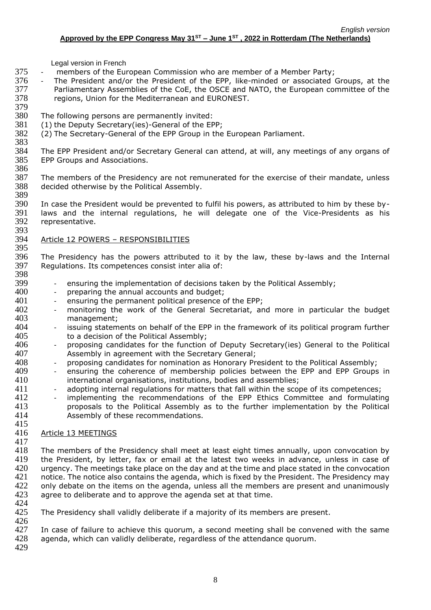- 375 members of the European Commission who are member of a Member Party;
- 376 The President and/or the President of the EPP, like-minded or associated Groups, at the 377 Parliamentary Assemblies of the CoE, the OSCE and NATO, the European committee of the 378 regions, Union for the Mediterranean and EURONEST.
- 379 380 The following persons are permanently invited:
- 381 (1) the Deputy Secretary(ies)-General of the EPP;
- 382 (2) The Secretary-General of the EPP Group in the European Parliament.
- 383<br>384 The EPP President and/or Secretary General can attend, at will, any meetings of any organs of 385 EPP Groups and Associations.
- 386<br>387 387 The members of the Presidency are not remunerated for the exercise of their mandate, unless 388 decided otherwise by the Political Assembly. decided otherwise by the Political Assembly.
- 389<br>390 In case the President would be prevented to fulfil his powers, as attributed to him by these by-391 laws and the internal regulations, he will delegate one of the Vice-Presidents as his representative. 393

## 394 Article 12 POWERS – RESPONSIBILITIES

396 The Presidency has the powers attributed to it by the law, these by-laws and the Internal 397 Requidations. Its competences consist inter alia of: Regulations. Its competences consist inter alia of:

- 398<br>399 399 - ensuring the implementation of decisions taken by the Political Assembly;<br>400 - preparing the annual accounts and budget;
- preparing the annual accounts and budget;
- 401 ensuring the permanent political presence of the EPP;<br>402 monitoring the work of the General Secretariat, are
- 402 monitoring the work of the General Secretariat, and more in particular the budget 403 management;
- 404 issuing statements on behalf of the EPP in the framework of its political program further 405 to a decision of the Political Assembly;<br>406 - proposing candidates for the function
- 406 proposing candidates for the function of Deputy Secretary(ies) General to the Political 407 Assembly in agreement with the Secretary General: Assembly in agreement with the Secretary General;
- 408 proposing candidates for nomination as Honorary President to the Political Assembly;
- 409 ensuring the coherence of membership policies between the EPP and EPP Groups in 410 international organisations, institutions, bodies and assemblies;
- 411 adopting internal regulations for matters that fall within the scope of its competences;
- 412 implementing the recommendations of the EPP Ethics Committee and formulating 413 proposals to the Political Assembly as to the further implementation by the Political 414 Assembly of these recommendations. 415

#### 416 Article 13 MEETINGS 417

418 The members of the Presidency shall meet at least eight times annually, upon convocation by 419 the President, by letter, fax or email at the latest two weeks in advance, unless in case of 420 urgency. The meetings take place on the day and at the time and place stated in the convocation 420 urgency. The meetings take place on the day and at the time and place stated in the convocation<br>421 notice. The notice also contains the agenda, which is fixed by the President. The Presidency may notice. The notice also contains the agenda, which is fixed by the President. The Presidency may 422 only debate on the items on the agenda, unless all the members are present and unanimously 423 agree to deliberate and to approve the agenda set at that time.

424<br>425

395

The Presidency shall validly deliberate if a majority of its members are present. 426

427 In case of failure to achieve this quorum, a second meeting shall be convened with the same 428 agenda, which can validly deliberate, regardless of the attendance quorum.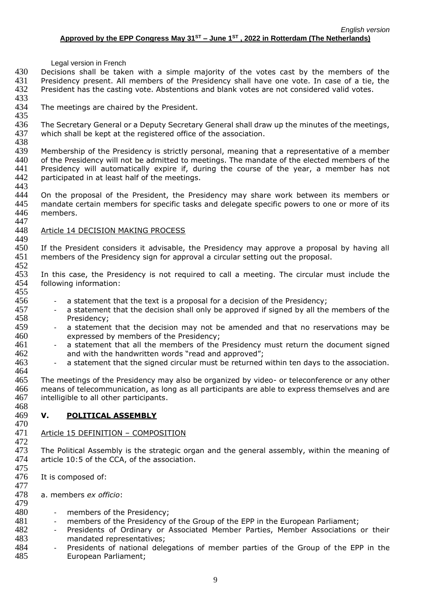430 Decisions shall be taken with a simple majority of the votes cast by the members of the 431 Presidency present. All members of the Presidency shall have one vote. In case of a tie, the 432 President has the casting vote. Abstentions and blank votes are not considered valid votes.

- 433<br>434 The meetings are chaired by the President.
- 435<br>436

449

468

477

The Secretary General or a Deputy Secretary General shall draw up the minutes of the meetings, 437 which shall be kept at the registered office of the association.

438<br>439 Membership of the Presidency is strictly personal, meaning that a representative of a member 440 of the Presidency will not be admitted to meetings. The mandate of the elected members of the 441 Presidency will automatically expire if, during the course of the year, a member has not 442 participated in at least half of the meetings. participated in at least half of the meetings.

443<br>444 444 On the proposal of the President, the Presidency may share work between its members or 445 mandate certain members for specific tasks and delegate specific powers to one or more of its 446 members.

### 447<br>448 Article 14 DECISION MAKING PROCESS

450 If the President considers it advisable, the Presidency may approve a proposal by having all 451 members of the Presidency sign for approval a circular setting out the proposal.

452<br>453 453 In this case, the Presidency is not required to call a meeting. The circular must include the 454 following information: following information: 455

- 456 a statement that the text is a proposal for a decision of the Presidency;
- 457 a statement that the decision shall only be approved if signed by all the members of the 458 Presidency;
- 459 a statement that the decision may not be amended and that no reservations may be 460 expressed by members of the Presidency;<br>461 - a statement that all the members of the
- 461 a statement that all the members of the Presidency must return the document signed<br>462 and with the handwritten words "read and approved": and with the handwritten words "read and approved";
- 463 a statement that the signed circular must be returned within ten days to the association.

464 The meetings of the Presidency may also be organized by video- or teleconference or any other means of telecommunication, as long as all participants are able to express themselves and are intelligible to all other participants.

## 469 **V. POLITICAL ASSEMBLY**

## 470<br>471 Article 15 DEFINITION - COMPOSITION

472<br>473 The Political Assembly is the strategic organ and the general assembly, within the meaning of 474 article 10:5 of the CCA, of the association.

- 475<br>476 It is composed of:
- 478 a. members *ex officio*:
- 479<br>480 480 - members of the Presidency;<br>481 - members of the Presidency
	- members of the Presidency of the Group of the EPP in the European Parliament;
- 482 Presidents of Ordinary or Associated Member Parties, Member Associations or their 483 mandated representatives;
- 484 Presidents of national delegations of member parties of the Group of the EPP in the 485 European Parliament;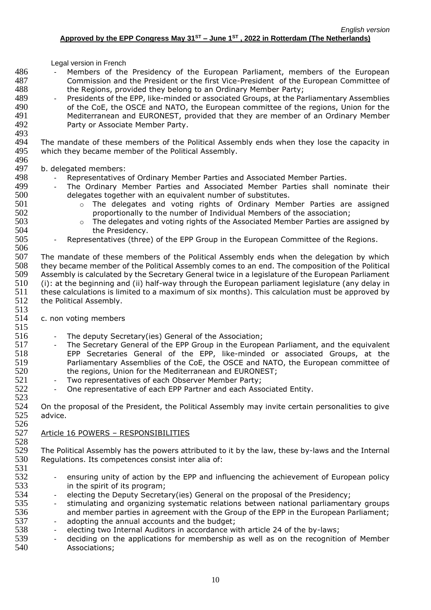- 486 Members of the Presidency of the European Parliament, members of the European 487 Commission and the President or the first Vice-President of the European Committee of 488 the Regions, provided they belong to an Ordinary Member Party;
- 489 Presidents of the EPP, like-minded or associated Groups, at the Parliamentary Assemblies<br>490 of the CoE, the OSCE and NATO, the European committee of the regions, Union for the of the CoE, the OSCE and NATO, the European committee of the regions, Union for the 491 Mediterranean and EURONEST, provided that they are member of an Ordinary Member<br>492 **Party or Associate Member Party**. Party or Associate Member Party.
- 493<br>494 494 The mandate of these members of the Political Assembly ends when they lose the capacity in 495 which they became member of the Political Assembly. which they became member of the Political Assembly.

# 496 497 b. delegated members:<br>498 - Representatives

- 
- 498 Representatives of Ordinary Member Parties and Associated Member Parties.<br>499 The Ordinary Member Parties and Associated Member Parties shall nom 499 - The Ordinary Member Parties and Associated Member Parties shall nominate their<br>500 - delegates together with an equivalent number of substitutes. delegates together with an equivalent number of substitutes.
- 501 o The delegates and voting rights of Ordinary Member Parties are assigned 502 proportionally to the number of Individual Members of the association;<br>503 o The delegates and voting rights of the Associated Member Parties are as
- 503 **b** o The delegates and voting rights of the Associated Member Parties are assigned by<br>504 **he Presidency**. the Presidency.

## 505 - Representatives (three) of the EPP Group in the European Committee of the Regions.

506<br>507 507 The mandate of these members of the Political Assembly ends when the delegation by which<br>508 they became member of the Political Assembly comes to an end. The composition of the Political 508 they became member of the Political Assembly comes to an end. The composition of the Political<br>509 Assembly is calculated by the Secretary General twice in a legislature of the European Parliament Assembly is calculated by the Secretary General twice in a legislature of the European Parliament 510 (i): at the beginning and (ii) half-way through the European parliament legislature (any delay in 511 these calculations is limited to a maximum of six months). This calculation must be approved by 512 the Political Assembly.

514 c. non voting members

513

523

- 515
- 516 The deputy Secretary(ies) General of the Association;<br>517 The Secretary General of the EPP Group in the Europe 517 - The Secretary General of the EPP Group in the European Parliament, and the equivalent<br>518 - EPP Secretaries General of the EPP, like-minded or associated Groups, at the EPP Secretaries General of the EPP, like-minded or associated Groups, at the 519 Parliamentary Assemblies of the CoE, the OSCE and NATO, the European committee of 520 the regions, Union for the Mediterranean and EURONEST;
	-
- 521 Two representatives of each Observer Member Party;<br>522 One representative of each EPP Partner and each Asso One representative of each EPP Partner and each Associated Entity.

524 On the proposal of the President, the Political Assembly may invite certain personalities to give 525 advice. 526

## 527 Article 16 POWERS – RESPONSIBILITIES

528 529 The Political Assembly has the powers attributed to it by the law, these by-laws and the Internal 530 Requiditions. Its competences consist inter alia of: Regulations. Its competences consist inter alia of:

- 531<br>532 ensuring unity of action by the EPP and influencing the achievement of European policy 533 in the spirit of its program;
- 534 electing the Deputy Secretary(ies) General on the proposal of the Presidency;
- 535 stimulating and organizing systematic relations between national parliamentary groups 536 and member parties in agreement with the Group of the EPP in the European Parliament;<br>537 - adopting the annual accounts and the budget; - adopting the annual accounts and the budget;
- 538 electing two Internal Auditors in accordance with article 24 of the by-laws;
- 539 deciding on the applications for membership as well as on the recognition of Member 540 Associations;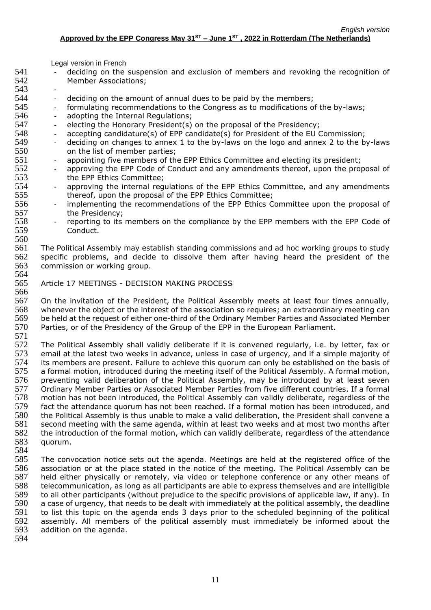- 541 deciding on the suspension and exclusion of members and revoking the recognition of 542 Member Associations;
- 543
	-
- 544 deciding on the amount of annual dues to be paid by the members;<br>545 formulating recommendations to the Congress as to modifications o 545 - formulating recommendations to the Congress as to modifications of the by-laws;
- 546 adopting the Internal Regulations;
- 547 electing the Honorary President(s) on the proposal of the Presidency;
- 548 accepting candidature(s) of EPP candidate(s) for President of the EU Commission;<br>549 deciding on changes to annex 1 to the by-laws on the logo and annex 2 to the b
- 549 deciding on changes to annex 1 to the by-laws on the logo and annex 2 to the by-laws<br>550 on the list of member parties: on the list of member parties;
- 551 appointing five members of the EPP Ethics Committee and electing its president;
- 552 approving the EPP Code of Conduct and any amendments thereof, upon the proposal of 553 553 the EPP Ethics Committee;<br>554 - approving the internal requ
- approving the internal regulations of the EPP Ethics Committee, and any amendments 555 thereof, upon the proposal of the EPP Ethics Committee;
- 556 implementing the recommendations of the EPP Ethics Committee upon the proposal of 557 the Presidency;
- 558 reporting to its members on the compliance by the EPP members with the EPP Code of 559 Conduct.

561 The Political Assembly may establish standing commissions and ad hoc working groups to study 562 specific problems, and decide to dissolve them after having heard the president of the 563 commission or working group. commission or working group. 564

565 Article 17 MEETINGS - DECISION MAKING PROCESS

566 On the invitation of the President, the Political Assembly meets at least four times annually, whenever the object or the interest of the association so requires; an extraordinary meeting can be held at the request of either one-third of the Ordinary Member Parties and Associated Member Parties, or of the Presidency of the Group of the EPP in the European Parliament.

571

560

572 The Political Assembly shall validly deliberate if it is convened regularly, i.e. by letter, fax or 573 email at the latest two weeks in advance, unless in case of urgency, and if a simple majority of email at the latest two weeks in advance, unless in case of urgency, and if a simple majority of 574 its members are present. Failure to achieve this quorum can only be established on the basis of 575 a formal motion, introduced during the meeting itself of the Political Assembly. A formal motion, 576 preventing valid deliberation of the Political Assembly, may be introduced by at least seven<br>577 Ordinary Member Parties or Associated Member Parties from five different countries. If a formal 577 Ordinary Member Parties or Associated Member Parties from five different countries. If a formal<br>578 motion has not been introduced, the Political Assembly can validly deliberate, regardless of the motion has not been introduced, the Political Assembly can validly deliberate, regardless of the 579 fact the attendance quorum has not been reached. If a formal motion has been introduced, and 580 the Political Assembly is thus unable to make a valid deliberation, the President shall convene a 581 second meeting with the same agenda, within at least two weeks and at most two months after 582 the introduction of the formal motion, which can validly deliberate, regardless of the attendance<br>583 auorum. quorum.

584

585 The convocation notice sets out the agenda. Meetings are held at the registered office of the 586 association or at the place stated in the notice of the meeting. The Political Assembly can be 587 held either physically or remotely, via video or telephone conference or any other means of 588 telecommunication, as long as all participants are able to express themselves and are intelligible 589 to all other participants (without prejudice to the specific provisions of applicable law, if any). In<br>590 a case of urgency, that needs to be dealt with immediately at the political assembly, the deadline 590 a case of urgency, that needs to be dealt with immediately at the political assembly, the deadline<br>591 to list this topic on the agenda ends 3 days prior to the scheduled beginning of the political 591 to list this topic on the agenda ends 3 days prior to the scheduled beginning of the political<br>592 assembly. All members of the political assembly must immediately be informed about the assembly. All members of the political assembly must immediately be informed about the 593 addition on the agenda.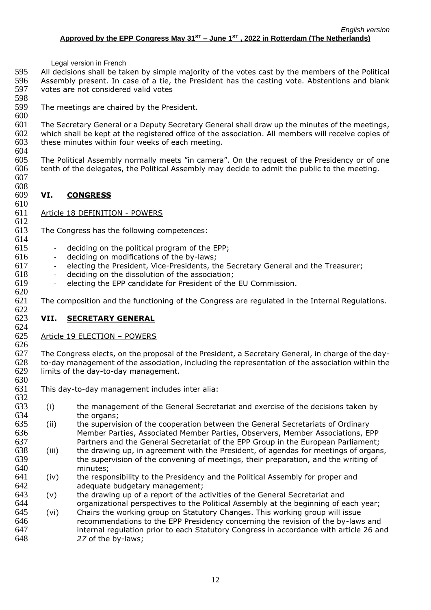All decisions shall be taken by simple majority of the votes cast by the members of the Political Assembly present. In case of a tie, the President has the casting vote. Abstentions and blank votes are not considered valid votes

- 598<br>599 The meetings are chaired by the President.
- 

608<br>609

 The Secretary General or a Deputy Secretary General shall draw up the minutes of the meetings, 602 which shall be kept at the registered office of the association. All members will receive copies of these minutes within four weeks of each meeting.

these minutes within four weeks of each meeting. 

 The Political Assembly normally meets "in camera". On the request of the Presidency or of one tenth of the delegates, the Political Assembly may decide to admit the public to the meeting. 

# **VI. CONGRESS**

 Article 18 DEFINITION - POWERS

<br> $613$ The Congress has the following competences: 

- deciding on the political program of the EPP;
	-
- 616 deciding on modifications of the by-laws;<br>617 electing the President, Vice-Presidents, the - electing the President, Vice-Presidents, the Secretary General and the Treasurer;
- deciding on the dissolution of the association;
- electing the EPP candidate for President of the EU Commission.

 The composition and the functioning of the Congress are regulated in the Internal Regulations. 622<br>623

# **VII. SECRETARY GENERAL**

# Article 19 ELECTION – POWERS

626<br>627 The Congress elects, on the proposal of the President, a Secretary General, in charge of the day- to-day management of the association, including the representation of the association within the limits of the day-to-day management.

- 630<br>631 This day-to-day management includes inter alia:
- (i) the management of the General Secretariat and exercise of the decisions taken by the organs;
- (ii) the supervision of the cooperation between the General Secretariats of Ordinary 636 Member Parties, Associated Member Parties, Observers, Member Associations, EPP<br>637 Partners and the General Secretariat of the EPP Group in the European Parliament: Partners and the General Secretariat of the EPP Group in the European Parliament;
- (iii) the drawing up, in agreement with the President, of agendas for meetings of organs, 639 the supervision of the convening of meetings, their preparation, and the writing of minutes: minutes:
- (iv) the responsibility to the Presidency and the Political Assembly for proper and adequate budgetary management;
- (v) the drawing up of a report of the activities of the General Secretariat and organizational perspectives to the Political Assembly at the beginning of each year;
- (vi) Chairs the working group on Statutory Changes. This working group will issue recommendations to the EPP Presidency concerning the revision of the by-laws and internal regulation prior to each Statutory Congress in accordance with article 26 and *27* of the by-laws;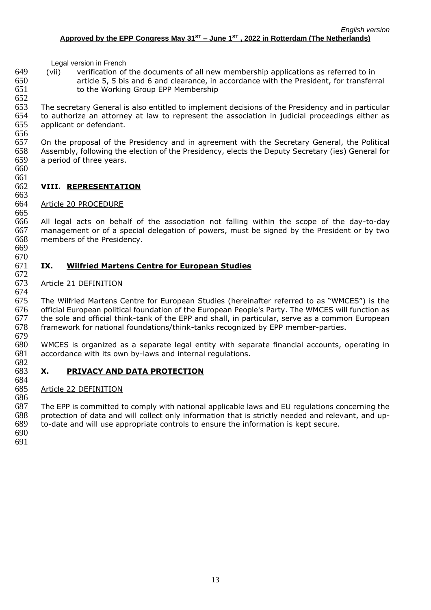(vii) verification of the documents of all new membership applications as referred to in article 5, 5 bis and 6 and clearance, in accordance with the President, for transferral to the Working Group EPP Membership

652<br>653 The secretary General is also entitled to implement decisions of the Presidency and in particular to authorize an attorney at law to represent the association in judicial proceedings either as applicant or defendant.

656<br>657 On the proposal of the Presidency and in agreement with the Secretary General, the Political Assembly, following the election of the Presidency, elects the Deputy Secretary (ies) General for a period of three years.

# 

### **VIII. REPRESENTATION**

### Article 20 PROCEDURE

 All legal acts on behalf of the association not falling within the scope of the day-to-day management or of a special delegation of powers, must be signed by the President or by two members of the Presidency.

# 

#### **IX. Wilfried Martens Centre for European Studies**

# Article 21 DEFINITION

 The Wilfried Martens Centre for European Studies (hereinafter referred to as "WMCES") is the official European political foundation of the European People's Party. The WMCES will function as the sole and official think-tank of the EPP and shall, in particular, serve as a common European framework for national foundations/think-tanks recognized by EPP member-parties.

 WMCES is organized as a separate legal entity with separate financial accounts, operating in accordance with its own by-laws and internal regulations. 

# **X. PRIVACY AND DATA PROTECTION**

### Article 22 DEFINITION

 The EPP is committed to comply with national applicable laws and EU regulations concerning the protection of data and will collect only information that is strictly needed and relevant, and up-

to-date and will use appropriate controls to ensure the information is kept secure.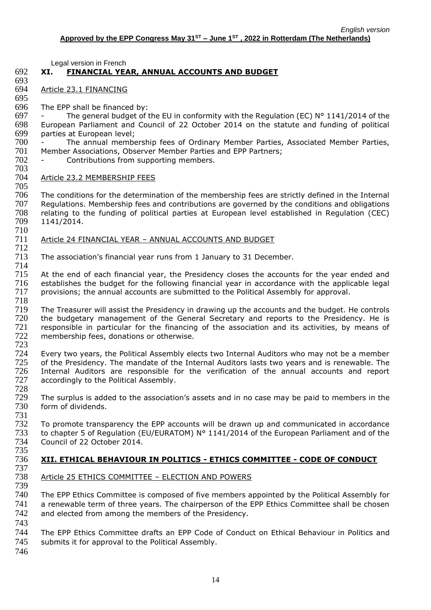# 692 **XI. FINANCIAL YEAR, ANNUAL ACCOUNTS AND BUDGET**

- 693 694 Article 23.1 FINANCING
- 695 The EPP shall be financed by:
- 697 The general budget of the EU in conformity with the Regulation (EC)  $N^{\circ}$  1141/2014 of the 698 European Parliament and Council of 22 October 2014 on the statute and funding of political 698 European Parliament and Council of 22 October 2014 on the statute and funding of political
- 699 parties at European level; 700 - The annual membership fees of Ordinary Member Parties, Associated Member Parties,<br>701 Member Associations, Observer Member Parties and EPP Partners: 701 Member Associations, Observer Member Parties and EPP Partners;<br>702 - Contributions from supporting members.
	- Contributions from supporting members.
- 703

# Article 23.2 MEMBERSHIP FEES

705 706 The conditions for the determination of the membership fees are strictly defined in the Internal<br>707 Regulations, Membership fees and contributions are governed by the conditions and obligations 707 Regulations. Membership fees and contributions are governed by the conditions and obligations<br>708 relating to the funding of political parties at European level established in Regulation (CEC) 708 relating to the funding of political parties at European level established in Regulation (CEC) 709 1141/2014. 710

#### 711 Article 24 FINANCIAL YEAR – ANNUAL ACCOUNTS AND BUDGET 712

713 The association's financial year runs from 1 January to 31 December.

714<br>715 715 At the end of each financial year, the Presidency closes the accounts for the year ended and<br>716 establishes the budget for the following financial year in accordance with the applicable legal 716 establishes the budget for the following financial year in accordance with the applicable legal 717 provisions; the annual accounts are submitted to the Political Assembly for approval. 717 provisions; the annual accounts are submitted to the Political Assembly for approval.

- 718 The Treasurer will assist the Presidency in drawing up the accounts and the budget. He controls<br>
720 the budgetary management of the General Secretary and reports to the Presidency. He is the budgetary management of the General Secretary and reports to the Presidency. He is 721 responsible in particular for the financing of the association and its activities, by means of 722 membership fees, donations or otherwise.
- 723 724 Every two years, the Political Assembly elects two Internal Auditors who may not be a member<br>725 of the Presidency. The mandate of the Internal Auditors lasts two vears and is renewable. The of the Presidency. The mandate of the Internal Auditors lasts two years and is renewable. The 726 Internal Auditors are responsible for the verification of the annual accounts and report 727 accordingly to the Political Assembly.
- 728 729 The surplus is added to the association's assets and in no case may be paid to members in the form of dividends.
- 731  $732$  To promote transparency the EPP accounts will be drawn up and communicated in accordance<br> $733$  to chapter 5 of Regulation (EU/EURATOM) N° 1141/2014 of the European Parliament and of the 733 to chapter 5 of Regulation (EU/EURATOM) N° 1141/2014 of the European Parliament and of the 734 Council of 22 October 2014. Council of 22 October 2014.

## 735 736 **XII. ETHICAL BEHAVIOUR IN POLITICS - ETHICS COMMITTEE - CODE OF CONDUCT**

- 737 Article 25 ETHICS COMMITTEE - ELECTION AND POWERS
- 740 The EPP Ethics Committee is composed of five members appointed by the Political Assembly for 741 a renewable term of three years. The chairperson of the EPP Ethics Committee shall be chosen 742 and elected from among the members of the Presidency. 743
- 744 The EPP Ethics Committee drafts an EPP Code of Conduct on Ethical Behaviour in Politics and 745 submits it for approval to the Political Assembly.
- 746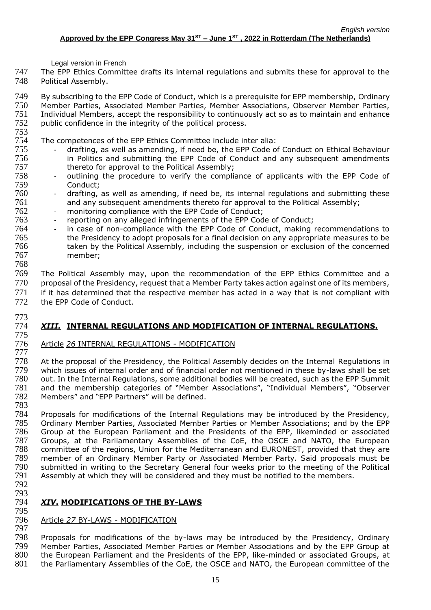- 747 The EPP Ethics Committee drafts its internal regulations and submits these for approval to the 748 Political Assembly.
- 749 By subscribing to the EPP Code of Conduct, which is a prerequisite for EPP membership, Ordinary<br>750 Member Parties, Associated Member Parties, Member Associations, Observer Member Parties, Member Parties, Associated Member Parties, Member Associations, Observer Member Parties, 751 Individual Members, accept the responsibility to continuously act so as to maintain and enhance<br>752 public confidence in the integrity of the political process. public confidence in the integrity of the political process.
- 

753 754 The competences of the EPP Ethics Committee include inter alia:<br>755 - drafting, as well as amending, if need be, the EPP Code of

- 755 drafting, as well as amending, if need be, the EPP Code of Conduct on Ethical Behaviour 756 in Politics and submitting the EPP Code of Conduct and any subsequent amendments
- 757 thereto for approval to the Political Assembly;<br>758 outlining the procedure to verify the compliantly - outlining the procedure to verify the compliance of applicants with the EPP Code of 759 Conduct;
- 760 drafting, as well as amending, if need be, its internal regulations and submitting these 761 and any subsequent amendments thereto for approval to the Political Assembly;
- 762 monitoring compliance with the EPP Code of Conduct;<br>763 reporting on any alleged infringements of the EPP Cod
- 763 reporting on any alleged infringements of the EPP Code of Conduct;<br>764 in case of non-compliance with the EPP Code of Conduct, making in
- in case of non-compliance with the EPP Code of Conduct, making recommendations to 765 the Presidency to adopt proposals for a final decision on any appropriate measures to be 766 taken by the Political Assembly, including the suspension or exclusion of the concerned 767 member;
- 769 The Political Assembly may, upon the recommendation of the EPP Ethics Committee and a 770 proposal of the Presidency, request that a Member Party takes action against one of its members, 771 if it has determined that the respective member has acted in a way that is not compliant with 772 the EPP Code of Conduct.
- 773

768

### 774 *XIII.* **INTERNAL REGULATIONS AND MODIFICATION OF INTERNAL REGULATIONS.** 775

776 Article *26* INTERNAL REGULATIONS - MODIFICATION

777 At the proposal of the Presidency, the Political Assembly decides on the Internal Regulations in 779 which issues of internal order and of financial order not mentioned in these by-laws shall be set<br>780 out. In the Internal Regulations, some additional bodies will be created, such as the EPP Summit out. In the Internal Regulations, some additional bodies will be created, such as the EPP Summit 781 and the membership categories of "Member Associations", "Individual Members", "Observer 782 Members" and "EPP Partners" will be defined. 783

784 Proposals for modifications of the Internal Regulations may be introduced by the Presidency, 785 Ordinary Member Parties, Associated Member Parties or Member Associations; and by the EPP<br>786 Group at the European Parliament and the Presidents of the EPP, likeminded or associated 786 Group at the European Parliament and the Presidents of the EPP, likeminded or associated 787 Groups, at the Parliamentary Assemblies of the CoF, the OSCE and NATO, the Furopean 787 Groups, at the Parliamentary Assemblies of the CoE, the OSCE and NATO, the European<br>788 committee of the regions. Union for the Mediterranean and FURONEST, provided that they are 788 committee of the regions, Union for the Mediterranean and EURONEST, provided that they are<br>789 member of an Ordinary Member Party or Associated Member Party. Said proposals must be 789 member of an Ordinary Member Party or Associated Member Party. Said proposals must be<br>790 submitted in writing to the Secretary General four weeks prior to the meeting of the Political 790 submitted in writing to the Secretary General four weeks prior to the meeting of the Political<br>791 Assembly at which they will be considered and they must be notified to the members. Assembly at which they will be considered and they must be notified to the members.

792 793

# 794 *XIV***. MODIFICATIONS OF THE BY-LAWS**

## 795 796 Article *27* BY-LAWS - MODIFICATION

797 798 Proposals for modifications of the by-laws may be introduced by the Presidency, Ordinary<br>799 Member Parties, Associated Member Parties or Member Associations and by the EPP Group at 799 Member Parties, Associated Member Parties or Member Associations and by the EPP Group at 800 the European Parliament and the Presidents of the EPP, like-minded or associated Groups, at 801 the Parliamentary Assemblies of the CoE, the OSCE and NATO, the European committee of the the Parliamentary Assemblies of the CoE, the OSCE and NATO, the European committee of the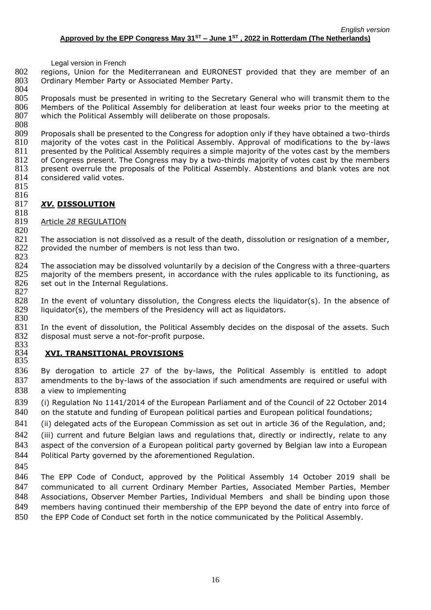regions, Union for the Mediterranean and EURONEST provided that they are member of an Ordinary Member Party or Associated Member Party.

 Proposals must be presented in writing to the Secretary General who will transmit them to the Members of the Political Assembly for deliberation at least four weeks prior to the meeting at 807 which the Political Assembly will deliberate on those proposals. 

 Proposals shall be presented to the Congress for adoption only if they have obtained a two-thirds majority of the votes cast in the Political Assembly. Approval of modifications to the by-laws 811 presented by the Political Assembly requires a simple majority of the votes cast by the members of Congress present. The Congress may by a two-thirds majority of votes cast by the members 813 present overrule the proposals of the Political Assembly. Abstentions and blank votes are not 814 considered valid votes. considered valid votes.

 

### *XV.* **DISSOLUTION**

### Article *28* REGULATION

 The association is not dissolved as a result of the death, dissolution or resignation of a member, 822 provided the number of members is not less than two.

 824 The association may be dissolved voluntarily by a decision of the Congress with a three-quarters<br>825 majority of the members present, in accordance with the rules applicable to its functioning, as majority of the members present, in accordance with the rules applicable to its functioning, as 826 set out in the Internal Regulations. 

828 In the event of voluntary dissolution, the Congress elects the liquidator(s). In the absence of liquidator(s), the members of the Presidency will act as liquidators. liquidator(s), the members of the Presidency will act as liquidators. 

 In the event of dissolution, the Political Assembly decides on the disposal of the assets. Such disposal must serve a not-for-profit purpose. 833<br>834

# **XVI. TRANSITIONAL PROVISIONS**

 By derogation to article 27 of the by-laws, the Political Assembly is entitled to adopt amendments to the by-laws of the association if such amendments are required or useful with a view to implementing

 (i) Regulation No 1141/2014 of the European Parliament and of the Council of 22 October 2014 840 on the statute and funding of European political parties and European political foundations;

841 (ii) delegated acts of the European Commission as set out in article 36 of the Regulation, and;

842 (iii) current and future Belgian laws and regulations that, directly or indirectly, relate to any aspect of the conversion of a European political party governed by Belgian law into a European 844 Political Party governed by the aforementioned Regulation.

 The EPP Code of Conduct, approved by the Political Assembly 14 October 2019 shall be communicated to all current Ordinary Member Parties, Associated Member Parties, Member Associations, Observer Member Parties, Individual Members and shall be binding upon those 849 members having continued their membership of the EPP beyond the date of entry into force of the EPP Code of Conduct set forth in the notice communicated by the Political Assembly.